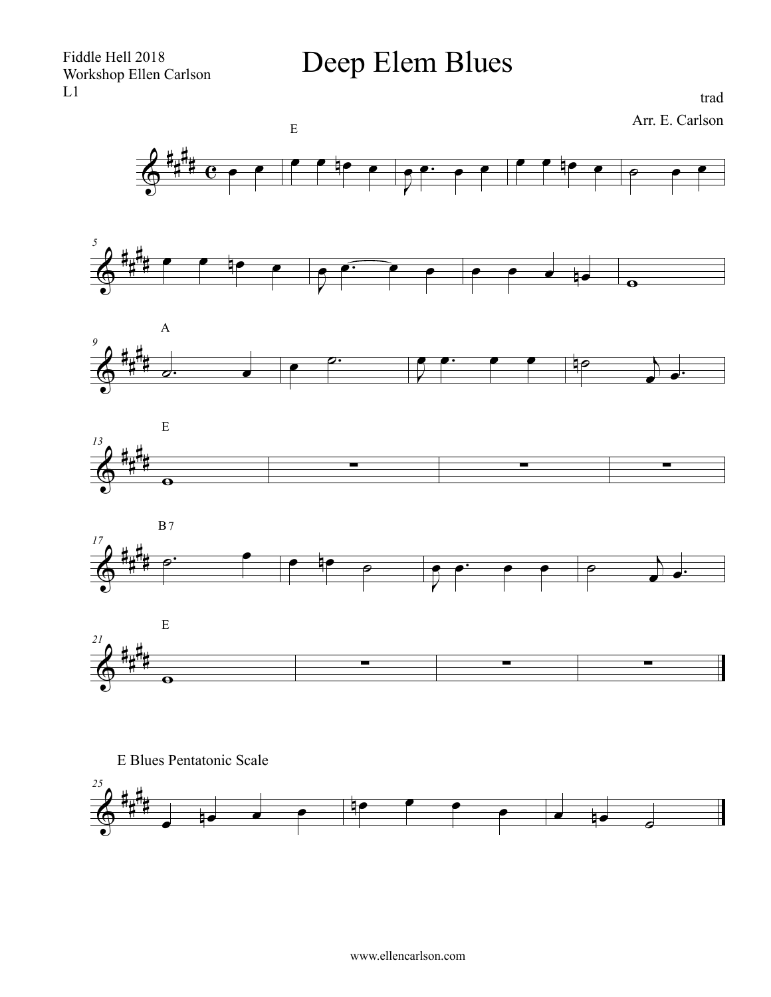Deep Elem Blues

trad Arr. E. Carlson